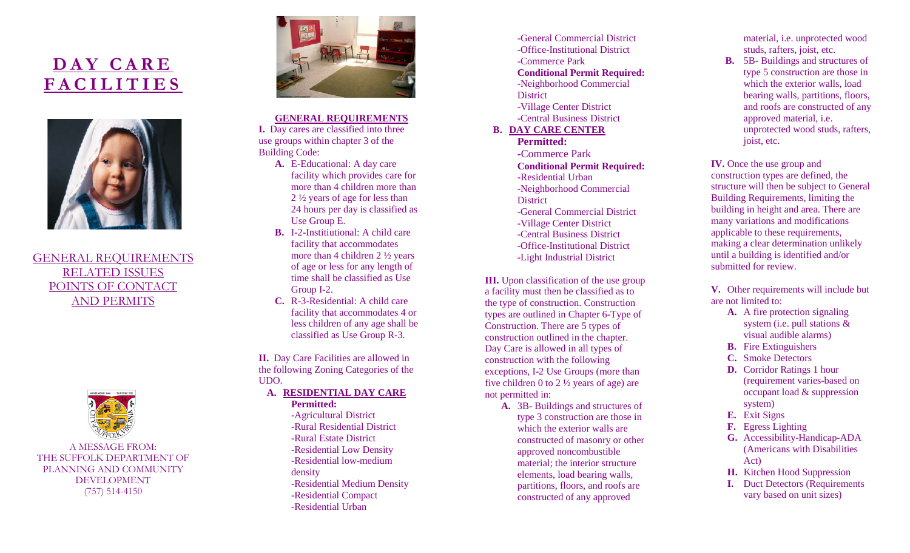# **DAY CARE FACILITIES**



GENERAL REQUIREMENTS RELATED ISSUES POINTS OF CONTACT AND PERMITS



A MESSAGE FROM: THE SUFFOLK DEPARTMENT OF PLANNING AND COMMUNITY DEVELOPMENT (757) 514-4150



#### **GENERAL REQUIREMENTS**

**I.** Day cares are classified into three use groups within chapter 3 of the Building Code:

- **A.** E-Educational: A day care facility which provides care for more than 4 children more than 2 ½ years of age for less than 24 hours per day is classified as Use Group E.
- **B.** I-2-Institiutional: A child care facility that accommodates more than 4 children 2 ½ years of age or less for any length of time shall be classified as Use Group I-2.
- **C.** R-3-Residential: A child care facility that accommodates 4 or less children of any age shall be classified as Use Group R-3.

**II.** Day Care Facilities are allowed in the following Zoning Categories of the UDO.

- **A. RESIDENTIAL DAY CARE Permitted:**
	- -Agricultural District -Rural Residential District -Rural Estate District -Residential Low Density -Residential low-medium density -Residential Medium Density -Residential Compact -Residential Urban

-General Commercial District -Office-Institutional District -Commerce Park **Conditional Permit Required:** -Neighborhood Commercial **District** -Village Center District -Central Business District **B. DAY CARE CENTER Permitted:**  -Commerce Park **Conditional Permit Required: -**Residential Urban -Neighborhood Commercial **District** -General Commercial District -Village Center District -Central Business District -Office-Institutional District -Light Industrial District

**III.** Upon classification of the use group a facility must then be classified as to the type of construction. Construction types are outlined in Chapter 6-Type of Construction. There are 5 types of construction outlined in the chapter. Day Care is allowed in all types of construction with the following exceptions, I-2 Use Groups (more than five children 0 to 2 ½ years of age) are not permitted in:

**A.** 3B- Buildings and structures of type 3 construction are those in which the exterior walls are constructed of masonry or other approved noncombustible material; the interior structure elements, load bearing walls, partitions, floors, and roofs are constructed of any approved

material, i.e. unprotected wood studs, rafters, joist, etc.

**B.** 5B- Buildings and structures of type 5 construction are those in which the exterior walls, load bearing walls, partitions, floors, and roofs are constructed of any approved material, i.e. unprotected wood studs, rafters, joist, etc.

**IV.** Once the use group and construction types are defined, the structure will then be subject to General Building Requirements, limiting the building in height and area. There are many variations and modifications applicable to these requirements, making a clear determination unlikely until a building is identified and/or submitted for review.

**V.** Other requirements will include but are not limited to:

- **A.** A fire protection signaling system (i.e. pull stations & visual audible alarms)
- **B.** Fire Extinguishers
- **C.** Smoke Detectors
- **D.** Corridor Ratings 1 hour (requirement varies-based on occupant load & suppression system)
- **E.** Exit Signs
- **F.** Egress Lighting
- **G.** Accessibility-Handicap-ADA (Americans with Disabilities Act)
- **H.** Kitchen Hood Suppression
- **I.** Duct Detectors (Requirements vary based on unit sizes)